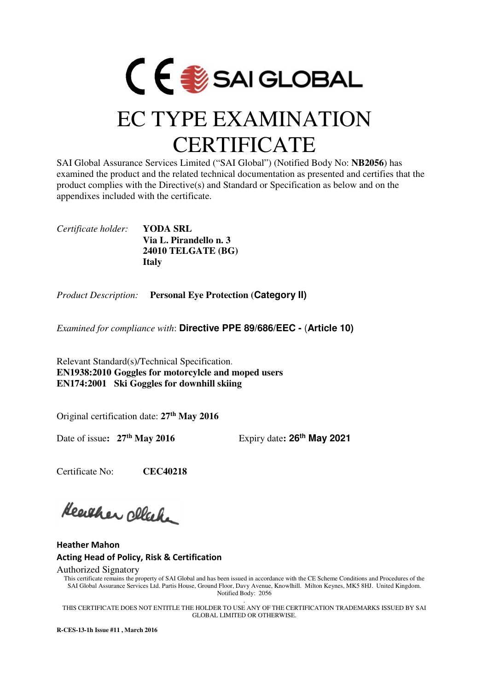

## EC TYPE EXAMINATION **CERTIFICATE**

SAI Global Assurance Services Limited ("SAI Global") (Notified Body No: **NB2056**) has examined the product and the related technical documentation as presented and certifies that the product complies with the Directive(s) and Standard or Specification as below and on the appendixes included with the certificate.

*Certificate holder:* **YODA SRL Via L. Pirandello n. 3 24010 TELGATE (BG) Italy** 

*Product Description:* **Personal Eye Protection (Category II)**

*Examined for compliance with*: **Directive PPE 89/686/EEC -** (**Article 10)**

Relevant Standard(s)/Technical Specification. **EN1938:2010 Goggles for motorcylcle and moped users EN174:2001 Ski Goggles for downhill skiing** 

Original certification date: **27th May 2016**

Date of issue**: 27th May 2016** Expiry date**: 26th May 2021**

Certificate No: **CEC40218**

Heather cleak

Heather Mahon Acting Head of Policy, Risk & Certification

Authorized Signatory

This certificate remains the property of SAI Global and has been issued in accordance with the CE Scheme Conditions and Procedures of the SAI Global Assurance Services Ltd. Partis House, Ground Floor, Davy Avenue, Knowlhill. Milton Keynes, MK5 8HJ. United Kingdom. Notified Body: 2056

. THIS CERTIFICATE DOES NOT ENTITLE THE HOLDER TO USE ANY OF THE CERTIFICATION TRADEMARKS ISSUED BY SAI GLOBAL LIMITED OR OTHERWISE.

**R-CES-13-1h Issue #11 , March 2016**